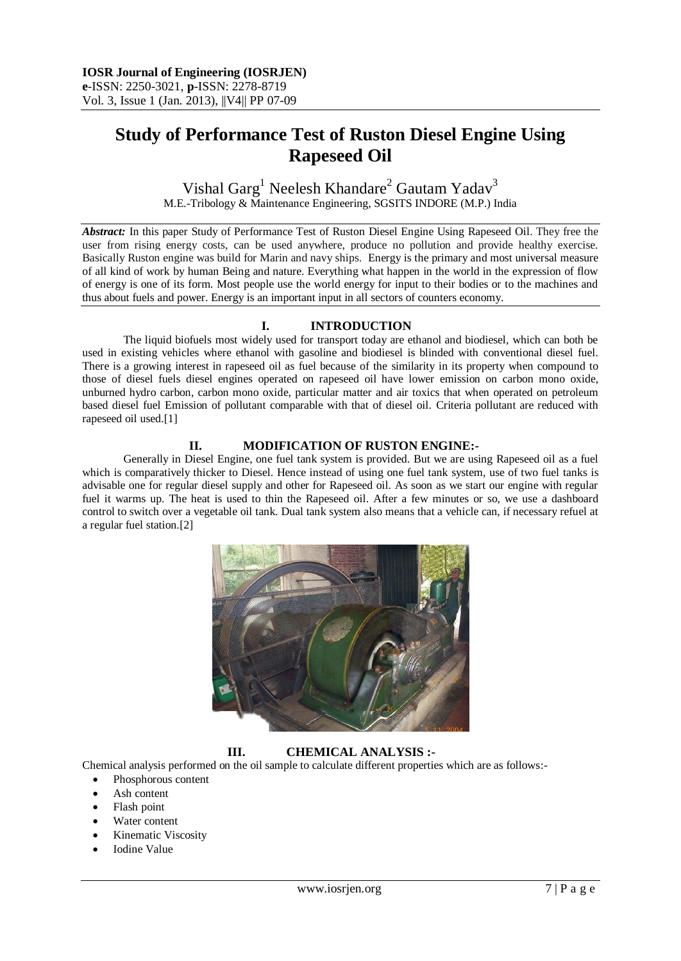# **Study of Performance Test of Ruston Diesel Engine Using Rapeseed Oil**

Vishal Garg<sup>1</sup> Neelesh Khandare<sup>2</sup> Gautam Yadav<sup>3</sup> M.E.-Tribology & Maintenance Engineering, SGSITS INDORE (M.P.) India

*Abstract:* In this paper Study of Performance Test of Ruston Diesel Engine Using Rapeseed Oil. They free the user from rising energy costs, can be used anywhere, produce no pollution and provide healthy exercise. Basically Ruston engine was build for Marin and navy ships. Energy is the primary and most universal measure of all kind of work by human Being and nature. Everything what happen in the world in the expression of flow of energy is one of its form. Most people use the world energy for input to their bodies or to the machines and thus about fuels and power. Energy is an important input in all sectors of counters economy.

# **I. INTRODUCTION**

The liquid biofuels most widely used for transport today are ethanol and biodiesel, which can both be used in existing vehicles where ethanol with gasoline and biodiesel is blinded with conventional diesel fuel. There is a growing interest in rapeseed oil as fuel because of the similarity in its property when compound to those of diesel fuels diesel engines operated on rapeseed oil have lower emission on carbon mono oxide, unburned hydro carbon, carbon mono oxide, particular matter and air toxics that when operated on petroleum based diesel fuel Emission of pollutant comparable with that of diesel oil. Criteria pollutant are reduced with rapeseed oil used.[1]

# **II. MODIFICATION OF RUSTON ENGINE:-**

Generally in Diesel Engine, one fuel tank system is provided. But we are using Rapeseed oil as a fuel which is comparatively thicker to Diesel. Hence instead of using one fuel tank system, use of two fuel tanks is advisable one for regular diesel supply and other for Rapeseed oil. As soon as we start our engine with regular fuel it warms up. The heat is used to thin the Rapeseed oil. After a few minutes or so, we use a dashboard control to switch over a vegetable oil tank. Dual tank system also means that a vehicle can, if necessary refuel at a regular fuel station.[2]



**III. CHEMICAL ANALYSIS :-**

Chemical analysis performed on the oil sample to calculate different properties which are as follows:-

- Phosphorous content
- Ash content
- Flash point
- Water content
- Kinematic Viscosity
- Iodine Value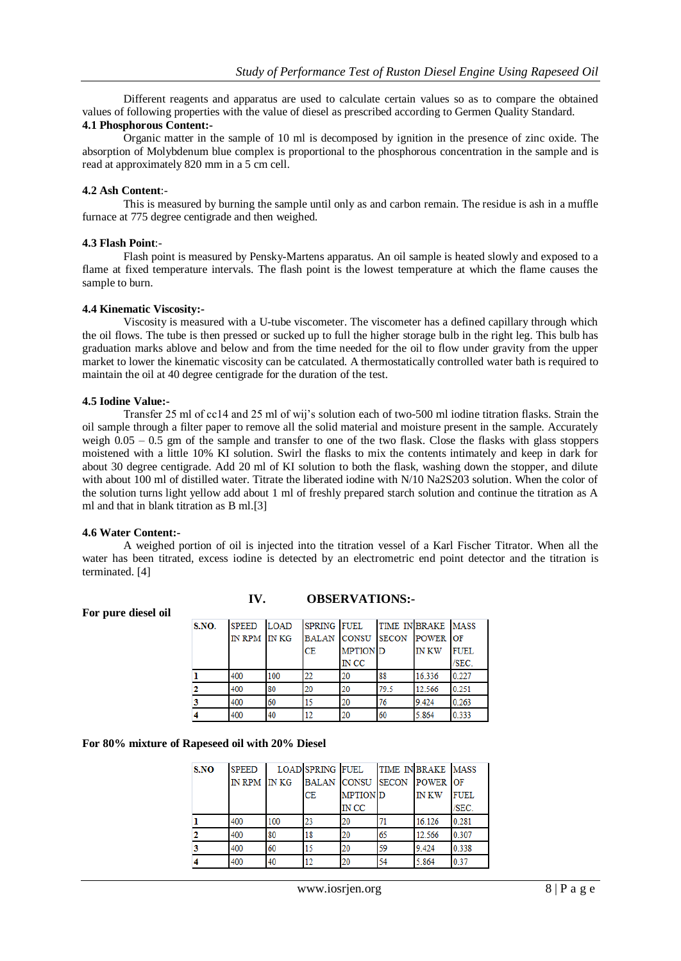Different reagents and apparatus are used to calculate certain values so as to compare the obtained values of following properties with the value of diesel as prescribed according to Germen Quality Standard.

# **4.1 Phosphorous Content:-**

Organic matter in the sample of 10 ml is decomposed by ignition in the presence of zinc oxide. The absorption of Molybdenum blue complex is proportional to the phosphorous concentration in the sample and is read at approximately 820 mm in a 5 cm cell.

#### **4.2 Ash Content**:-

This is measured by burning the sample until only as and carbon remain. The residue is ash in a muffle furnace at 775 degree centigrade and then weighed.

#### **4.3 Flash Point**:-

Flash point is measured by Pensky-Martens apparatus. An oil sample is heated slowly and exposed to a flame at fixed temperature intervals. The flash point is the lowest temperature at which the flame causes the sample to burn.

#### **4.4 Kinematic Viscosity:-**

Viscosity is measured with a U-tube viscometer. The viscometer has a defined capillary through which the oil flows. The tube is then pressed or sucked up to full the higher storage bulb in the right leg. This bulb has graduation marks ablove and below and from the time needed for the oil to flow under gravity from the upper market to lower the kinematic viscosity can be catculated. A thermostatically controlled water bath is required to maintain the oil at 40 degree centigrade for the duration of the test.

#### **4.5 Iodine Value:-**

Transfer 25 ml of cc14 and 25 ml of wij's solution each of two-500 ml iodine titration flasks. Strain the oil sample through a filter paper to remove all the solid material and moisture present in the sample. Accurately weigh 0.05 – 0.5 gm of the sample and transfer to one of the two flask. Close the flasks with glass stoppers moistened with a little 10% KI solution. Swirl the flasks to mix the contents intimately and keep in dark for about 30 degree centigrade. Add 20 ml of KI solution to both the flask, washing down the stopper, and dilute with about 100 ml of distilled water. Titrate the liberated iodine with N/10 Na2S203 solution. When the color of the solution turns light yellow add about 1 ml of freshly prepared starch solution and continue the titration as A ml and that in blank titration as B ml.[3]

#### **4.6 Water Content:-**

A weighed portion of oil is injected into the titration vessel of a Karl Fischer Titrator. When all the water has been titrated, excess iodine is detected by an electrometric end point detector and the titration is terminated. [4]

| S.NO. | <b>SPEED</b> | <b>LOAD</b> | SPRING FUEL |                                   | TIME IN BRAKE MASS |              |             |
|-------|--------------|-------------|-------------|-----------------------------------|--------------------|--------------|-------------|
|       | IN RPM IN KG |             |             | <b>BALAN CONSU SECON POWER OF</b> |                    |              |             |
|       |              |             | <b>CE</b>   | <b>MPTION</b> D                   |                    | <b>IN KW</b> | <b>FUEL</b> |
|       |              |             |             | IN CC                             |                    |              | /SEC.       |
|       | 400          | 100         | 22          | 20                                | 88                 | 16.336       | 0.227       |
|       | 400          | 80          | 20          | 20                                | 79.5               | 12.566       | 0.251       |
|       | 400          | 60          | 15          | 20                                | 76                 | 9.424        | 0.263       |
|       | 400          | 40          | 12          | 20                                | 60                 | 5.864        | 0.333       |

**IV. OBSERVATIONS:-**

#### **For pure diesel oil**

#### **For 80% mixture of Rapeseed oil with 20% Diesel**

| S.NO | <b>SPEED</b> |     | LOAD SPRING FUEL |                                   | TIME IN BRAKE MASS |             |             |
|------|--------------|-----|------------------|-----------------------------------|--------------------|-------------|-------------|
|      | IN RPM IN KG |     |                  | <b>BALAN CONSU SECON POWER OF</b> |                    |             |             |
|      |              |     | CE               | <b>MPTION</b> D                   |                    | <b>INKW</b> | <b>FUEL</b> |
|      |              |     |                  | <b>IN CC</b>                      |                    |             | /SEC.       |
|      | 400          | 100 | 23               | 20                                |                    | 16.126      | 0.281       |
|      | 400          | 80  | 18               | 20                                | 65                 | 12.566      | 0.307       |
|      | 400          | 60  | 15               | 20                                | 59                 | 9.424       | 0.338       |
|      | 400          | 40  | 12               | 20                                | 54                 | 5.864       | 0.37        |